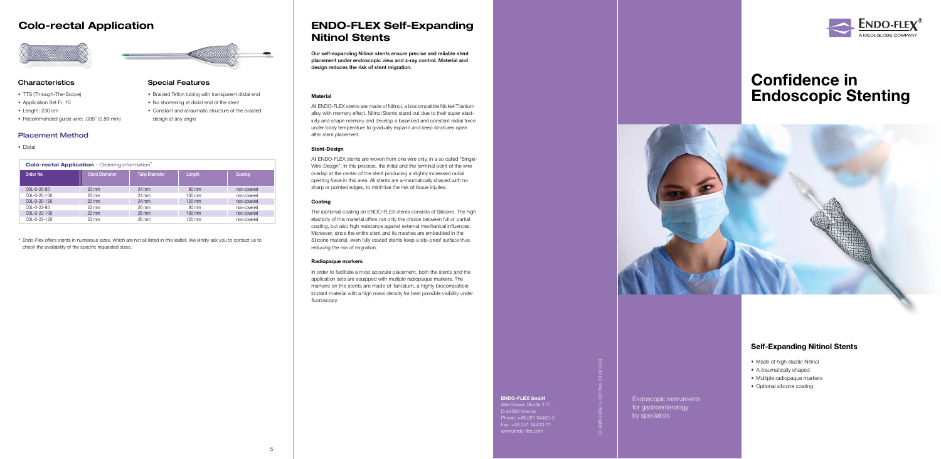

ENDO-FLEX GmbH Alte Hünxer Straße 115 D-46562 Voerde Phone: +49 281 94400-0 Fax: +49 281 94400-11 www.endo-flex.com

### ENDO-FLEX Self-Expanding Nitinol Stents

Our self-expanding Nitinol stents ensure precise and reliable stent placement under endoscopic view and x-ray control. Material and design reduces the risk of stent migration.

#### **Material**

All ENDO-FLEX stents are made of Nitinol, a biocompatible Nickel-Titanium alloy with memory effect. Nitinol Stents stand out due to their super elasticity and shape memory and develop a balanced and constant radial force under body temperature to gradually expand and keep strictures open after stent placement.

#### Stent-Design

All ENDO-FLEX stents are woven from one wire only, in a so called "Single-Wire-Design". In this process, the initial and the terminal point of the wire overlap at the center of the stent producing a slightly increased radial opening force in this area. All stents are a-traumatically shaped with no sharp or pointed edges, to minimize the risk of tissue injuries.

#### **Coating**

The (optional) coating on ENDO-FLEX stents consists of Silicone. The high elasticity of this material offers not only the choice between full or partial coating, but also high resistance against external mechanical influences. Moreover, since the entire stent and its meshes are embedded in the Silicone material, even fully coated stents keep a slip-proof surface thus reducing the risk of migration.

- TTS (Through-The-Scope)
- Application Set Fr. 10
- Length: 230 cm
- Recommended guide wire: .035" (0.89 mm)

#### Radiopaque markers

In order to facilitate a most accurate placement, both the stents and the application sets are equipped with multiple radiopaque markers. The markers on the stents are made of Tantalum, a highly biocompatible implant material with a high mass density for best possible visibility under fluoroscopy.

### Colo-rectal Application



LEF-SEMS-SU-EN / LL-0270 Vers. 2.0 (2019-03)

# Confidence in Endoscopic Stenting



Endoscopic instruments for gastroenterology by specialists

#### Special Features

- Braided Teflon tubing with transparent distal end
- No shortening at distal end of the stent
- Constant and atraumatic structure of the braided design at any angle

### Self-Expanding Nitinol Stents

- Made of high elastic Nitinol
- A-traumatically shaped
- Multiple radiopaque markers
- Optional silicone coating

| <b>Colo-rectal Application</b> - Ordering information <sup>*</sup> |                       |                       |                  |             |
|--------------------------------------------------------------------|-----------------------|-----------------------|------------------|-------------|
| Order No.                                                          | <b>Stent Diameter</b> | <b>Tulip Diameter</b> | Length           | Coating     |
| COL-0-20-80                                                        | $20 \text{ mm}$       | 24 mm                 | $80 \text{ mm}$  | non-covered |
| COL-0-20-100                                                       | $20 \text{ mm}$       | 24 mm                 | $100 \text{ mm}$ | non-covered |
| COL-0-20-120                                                       | $20 \text{ mm}$       | $24 \text{ mm}$       | $120$ mm         | non-covered |
| $COL-0-22-80$                                                      | $22 \text{ mm}$       | $26 \text{ mm}$       | 80 mm            | non-covered |
| $COL-0-22-100$                                                     | $22 \text{ mm}$       | $26 \text{ mm}$       | $100$ mm         | non-covered |
| COL-0-22-120                                                       | $22 \text{ mm}$       | $26 \text{ mm}$       | $120 \text{ mm}$ | non-covered |

#### Characteristics

#### Placement Method

• Distal

\* Endo-Flex offers stents in numerous sizes, which are not all listed in this leaflet. We kindly ask you to contact us to check the availability of the specific requested sizes.